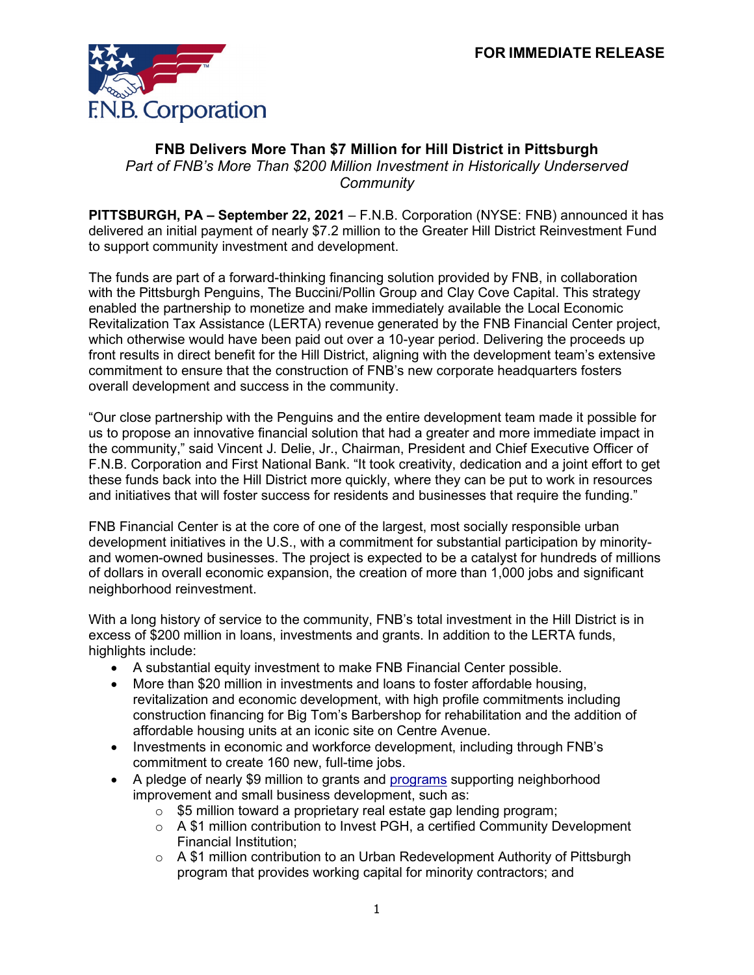

## **FNB Delivers More Than \$7 Million for Hill District in Pittsburgh**

*Part of FNB's More Than \$200 Million Investment in Historically Underserved Community*

**PITTSBURGH, PA – September 22, 2021** – F.N.B. Corporation (NYSE: FNB) announced it has delivered an initial payment of nearly \$7.2 million to the Greater Hill District Reinvestment Fund to support community investment and development.

The funds are part of a forward-thinking financing solution provided by FNB, in collaboration with the Pittsburgh Penguins, The Buccini/Pollin Group and Clay Cove Capital. This strategy enabled the partnership to monetize and make immediately available the Local Economic Revitalization Tax Assistance (LERTA) revenue generated by the FNB Financial Center project, which otherwise would have been paid out over a 10-year period. Delivering the proceeds up front results in direct benefit for the Hill District, aligning with the development team's extensive commitment to ensure that the construction of FNB's new corporate headquarters fosters overall development and success in the community.

"Our close partnership with the Penguins and the entire development team made it possible for us to propose an innovative financial solution that had a greater and more immediate impact in the community," said Vincent J. Delie, Jr., Chairman, President and Chief Executive Officer of F.N.B. Corporation and First National Bank. "It took creativity, dedication and a joint effort to get these funds back into the Hill District more quickly, where they can be put to work in resources and initiatives that will foster success for residents and businesses that require the funding."

FNB Financial Center is at the core of one of the largest, most socially responsible urban development initiatives in the U.S., with a commitment for substantial participation by minorityand women-owned businesses. The project is expected to be a catalyst for hundreds of millions of dollars in overall economic expansion, the creation of more than 1,000 jobs and significant neighborhood reinvestment.

With a long history of service to the community, FNB's total investment in the Hill District is in excess of \$200 million in loans, investments and grants. In addition to the LERTA funds, highlights include:

- A substantial equity investment to make FNB Financial Center possible.
- More than \$20 million in investments and loans to foster affordable housing, revitalization and economic development, with high profile commitments including construction financing for Big Tom's Barbershop for rehabilitation and the addition of affordable housing units at an iconic site on Centre Avenue.
- Investments in economic and workforce development, including through FNB's commitment to create 160 new, full-time jobs.
- A pledge of nearly \$9 million to grants and [programs](https://www.fnb-online.com/About-Us/Newsroom/Press-Releases/2021/FNB%20Corporation%20Invests%20in%20Initiatives%20Serving%20the%20Hill%20District%20Community%20of%20Pittsburgh%20042721) supporting neighborhood improvement and small business development, such as:
	- o \$5 million toward a proprietary real estate gap lending program;
	- $\circ$  A \$1 million contribution to Invest PGH, a certified Community Development Financial Institution;
	- $\circ$  A \$1 million contribution to an Urban Redevelopment Authority of Pittsburgh program that provides working capital for minority contractors; and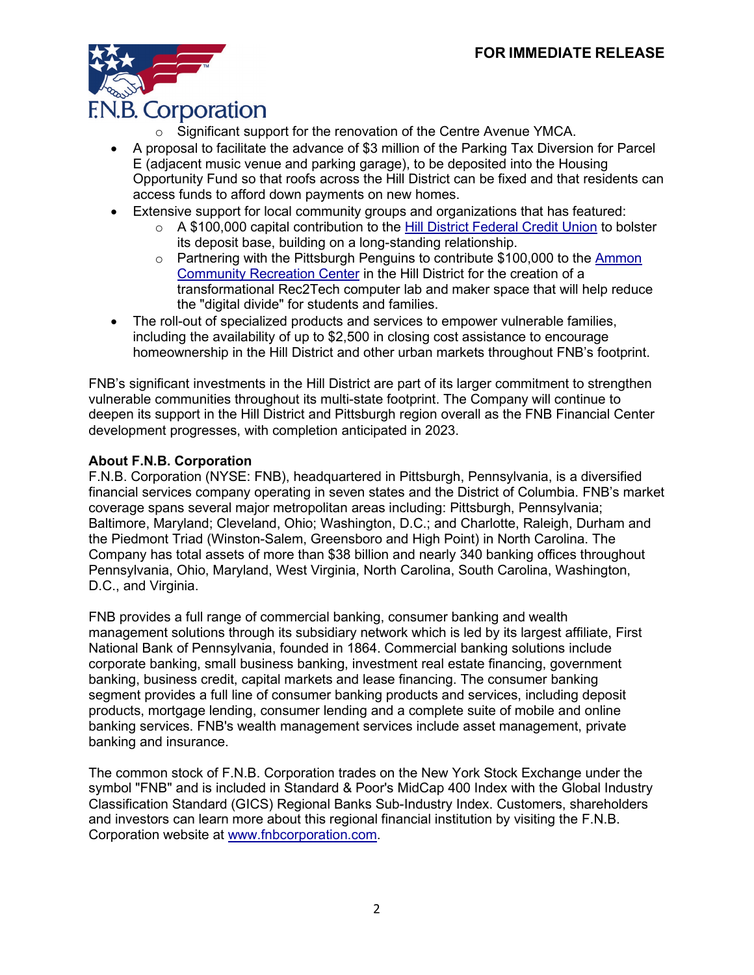

- o Significant support for the renovation of the Centre Avenue YMCA.
- A proposal to facilitate the advance of \$3 million of the Parking Tax Diversion for Parcel E (adjacent music venue and parking garage), to be deposited into the Housing Opportunity Fund so that roofs across the Hill District can be fixed and that residents can access funds to afford down payments on new homes.
- Extensive support for local community groups and organizations that has featured:
	- o A \$100,000 capital contribution to the [Hill District Federal Credit Union](https://www.fnb-online.com/About-Us/Newsroom/Press-Releases/2020/FNB%20Corporation%20Makes%20Contribution%20to%20Hill%20District%20Federal%20Credit%20Union%20072020) to bolster its deposit base, building on a long-standing relationship.
	- o Partnering with the Pittsburgh Penguins to contribute \$100,000 to the [Ammon](https://www.fnb-online.com/About-Us/Newsroom/Press-Releases/2020/Pittsburgh%20Penguins%20and%20FNB%20Corporation%20Team%20Up%20with%20City%20of%20Pittsburgh%20082720)  [Community Recreation Center](https://www.fnb-online.com/About-Us/Newsroom/Press-Releases/2020/Pittsburgh%20Penguins%20and%20FNB%20Corporation%20Team%20Up%20with%20City%20of%20Pittsburgh%20082720) in the Hill District for the creation of a transformational Rec2Tech computer lab and maker space that will help reduce the "digital divide" for students and families.
- The roll-out of specialized products and services to empower vulnerable families, including the availability of up to \$2,500 in closing cost assistance to encourage homeownership in the Hill District and other urban markets throughout FNB's footprint.

FNB's significant investments in the Hill District are part of its larger commitment to strengthen vulnerable communities throughout its multi-state footprint. The Company will continue to deepen its support in the Hill District and Pittsburgh region overall as the FNB Financial Center development progresses, with completion anticipated in 2023.

## **About F.N.B. Corporation**

F.N.B. Corporation (NYSE: FNB), headquartered in Pittsburgh, Pennsylvania, is a diversified financial services company operating in seven states and the District of Columbia. FNB's market coverage spans several major metropolitan areas including: Pittsburgh, Pennsylvania; Baltimore, Maryland; Cleveland, Ohio; Washington, D.C.; and Charlotte, Raleigh, Durham and the Piedmont Triad (Winston-Salem, Greensboro and High Point) in North Carolina. The Company has total assets of more than \$38 billion and nearly 340 banking offices throughout Pennsylvania, Ohio, Maryland, West Virginia, North Carolina, South Carolina, Washington, D.C., and Virginia.

FNB provides a full range of commercial banking, consumer banking and wealth management solutions through its subsidiary network which is led by its largest affiliate, First National Bank of Pennsylvania, founded in 1864. Commercial banking solutions include corporate banking, small business banking, investment real estate financing, government banking, business credit, capital markets and lease financing. The consumer banking segment provides a full line of consumer banking products and services, including deposit products, mortgage lending, consumer lending and a complete suite of mobile and online banking services. FNB's wealth management services include asset management, private banking and insurance.

The common stock of F.N.B. Corporation trades on the New York Stock Exchange under the symbol "FNB" and is included in Standard & Poor's MidCap 400 Index with the Global Industry Classification Standard (GICS) Regional Banks Sub-Industry Index. Customers, shareholders and investors can learn more about this regional financial institution by visiting the F.N.B. Corporation website at www.fnbcorporation.com.